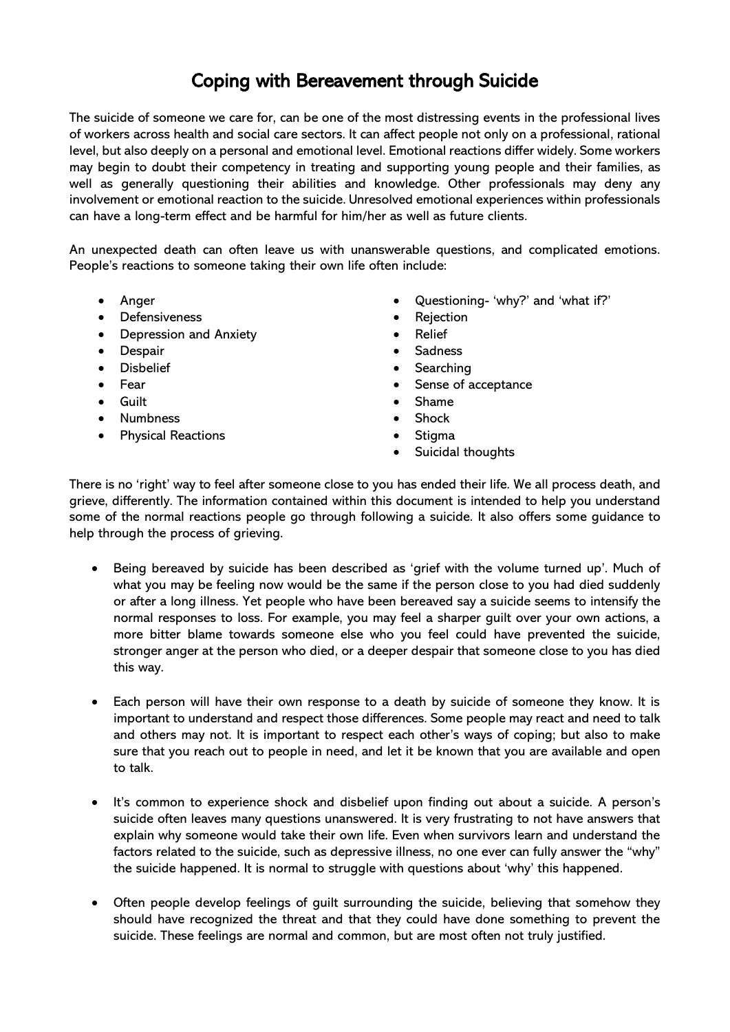## Coping with Bereavement through Suicide

The suicide of someone we care for, can be one of the most distressing events in the professional lives of workers across health and social care sectors. It can affect people not only on a professional, rational level, but also deeply on a personal and emotional level. Emotional reactions differ widely. Some workers may begin to doubt their competency in treating and supporting young people and their families, as well as generally questioning their abilities and knowledge. Other professionals may deny any involvement or emotional reaction to the suicide. Unresolved emotional experiences within professionals can have a long-term effect and be harmful for him/her as well as future clients.

An unexpected death can often leave us with unanswerable questions, and complicated emotions. People's reactions to someone taking their own life often include:

- Anger
- Defensiveness
- Depression and Anxiety
- Despair
- **Disbelief**
- Fear
- Guilt
- Numbness
- Physical Reactions
- Questioning- 'why?' and 'what if?'
- Rejection
- Relief
- **Sadness**
- Searching
- Sense of acceptance
- Shame
- Shock
- Stigma
- Suicidal thoughts

There is no 'right' way to feel after someone close to you has ended their life. We all process death, and grieve, differently. The information contained within this document is intended to help you understand some of the normal reactions people go through following a suicide. It also offers some guidance to help through the process of grieving.

- Being bereaved by suicide has been described as 'grief with the volume turned up'. Much of what you may be feeling now would be the same if the person close to you had died suddenly or after a long illness. Yet people who have been bereaved say a suicide seems to intensify the normal responses to loss. For example, you may feel a sharper guilt over your own actions, a more bitter blame towards someone else who you feel could have prevented the suicide, stronger anger at the person who died, or a deeper despair that someone close to you has died this way.
- Each person will have their own response to a death by suicide of someone they know. It is important to understand and respect those differences. Some people may react and need to talk and others may not. It is important to respect each other's ways of coping; but also to make sure that you reach out to people in need, and let it be known that you are available and open to talk.
- It's common to experience shock and disbelief upon finding out about a suicide. A person's suicide often leaves many questions unanswered. It is very frustrating to not have answers that explain why someone would take their own life. Even when survivors learn and understand the factors related to the suicide, such as depressive illness, no one ever can fully answer the "why" the suicide happened. It is normal to struggle with questions about 'why' this happened.
- Often people develop feelings of guilt surrounding the suicide, believing that somehow they should have recognized the threat and that they could have done something to prevent the suicide. These feelings are normal and common, but are most often not truly justified.